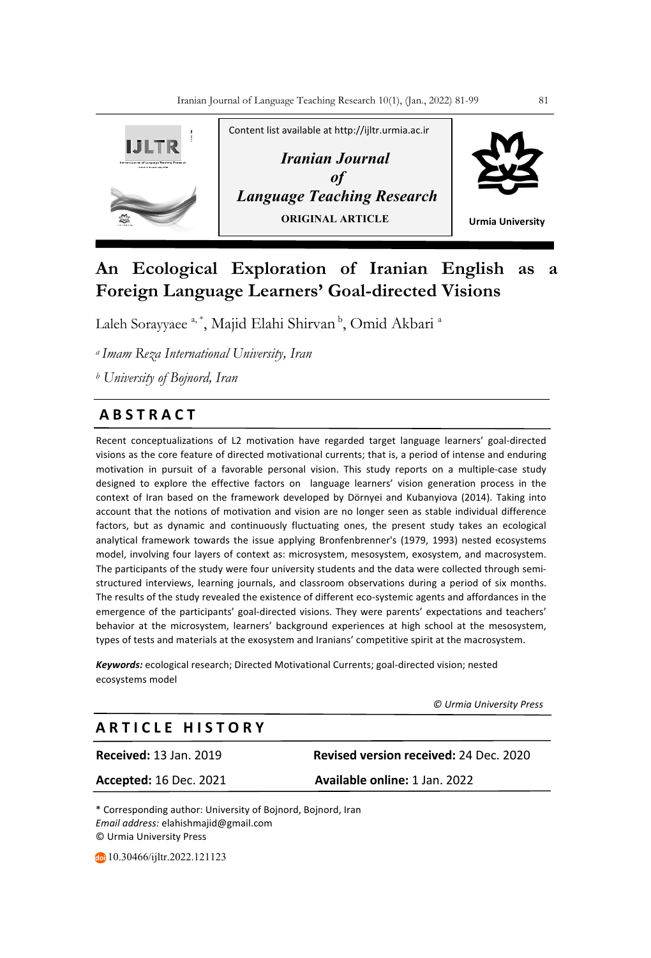

# **An Ecological Exploration of Iranian English as a Foreign Language Learners' Goal-directed Visions**

Laleh Sorayyaee <sup>a, \*</sup>, Majid Elahi Shirvan <sup>b</sup>, Omid Akbari <sup>a</sup>

*a Imam Reza International University, Iran*

*<sup>b</sup> University of Bojnord, Iran*

# **A B S T R A C T**

Recent conceptualizations of L2 motivation have regarded target language learners' goal-directed visions as the core feature of directed motivational currents; that is, a period of intense and enduring motivation in pursuit of a favorable personal vision. This study reports on a multiple-case study designed to explore the effective factors on language learners' vision generation process in the context of Iran based on the framework developed by Dörnyei and Kubanyiova (2014). Taking into account that the notions of motivation and vision are no longer seen as stable individual difference factors, but as dynamic and continuously fluctuating ones, the present study takes an ecological analytical framework towards the issue applying Bronfenbrenner's (1979, 1993) nested ecosystems model, involving four layers of context as: microsystem, mesosystem, exosystem, and macrosystem. The participants of the study were four university students and the data were collected through semistructured interviews, learning journals, and classroom observations during a period of six months. The results of the study revealed the existence of different eco-systemic agents and affordances in the emergence of the participants' goal-directed visions. They were parents' expectations and teachers' behavior at the microsystem, learners' background experiences at high school at the mesosystem, types of tests and materials at the exosystem and Iranians' competitive spirit at the macrosystem.

*Keywords:* ecological research; Directed Motivational Currents; goal-directed vision; nested ecosystems model

 *© Urmia University Press*

# **A R T I C L E H I S T O R Y**

**Received:** 13 Jan. 2019 **Revised version received:** 24 Dec. 2020

**Accepted:** 16 Dec. 2021 **Available online:** 1 Jan. 2022

\* Corresponding author: University of Bojnord, Bojnord, Iran *Email address:* elahishmajid@gmail.com © Urmia University Press

10.30466/ijltr.2022.121123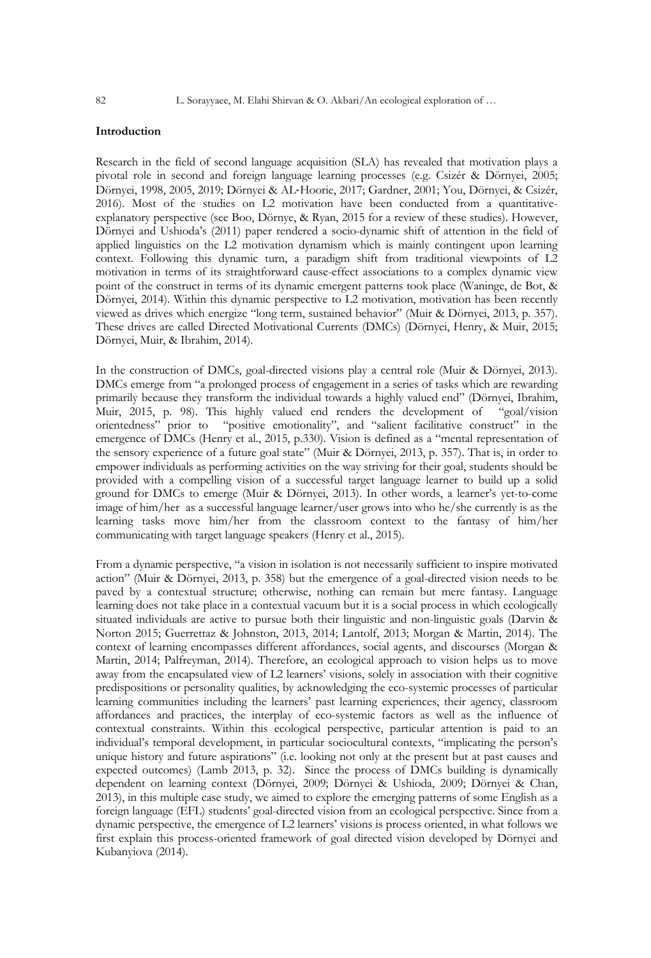# **Introduction**

Research in the field of second language acquisition (SLA) has revealed that motivation plays a pivotal role in second and foreign language learning processes (e.g. Csizér & Dörnyei, 2005; Dörnyei, 1998, 2005, 2019; Dörnyei & AL-Hoorie, 2017; Gardner, 2001; You, Dörnyei, & Csizér, 2016). Most of the studies on L2 motivation have been conducted from a quantitativeexplanatory perspective (see Boo, Dörnye, & Ryan, 2015 for a review of these studies). However, Dörnyei and Ushioda's (2011) paper rendered a socio-dynamic shift of attention in the field of applied linguistics on the L2 motivation dynamism which is mainly contingent upon learning context. Following this dynamic turn, a paradigm shift from traditional viewpoints of L2 motivation in terms of its straightforward cause-effect associations to a complex dynamic view point of the construct in terms of its dynamic emergent patterns took place (Waninge, de Bot, & Dörnyei, 2014). Within this dynamic perspective to L2 motivation, motivation has been recently viewed as drives which energize "long term, sustained behavior" (Muir & Dörnyei, 2013, p. 357). These drives are called Directed Motivational Currents (DMCs) (Dörnyei, Henry, & Muir, 2015; Dörnyei, Muir, & Ibrahim, 2014).

In the construction of DMCs, goal-directed visions play a central role (Muir & Dörnyei, 2013). DMCs emerge from "a prolonged process of engagement in a series of tasks which are rewarding primarily because they transform the individual towards a highly valued end" (Dörnyei, Ibrahim, Muir, 2015, p. 98). This highly valued end renders the development of "goal/vision orientedness" prior to "positive emotionality", and "salient facilitative construct" in the emergence of DMCs (Henry et al., 2015, p.330). Vision is defined as a "mental representation of the sensory experience of a future goal state" (Muir & Dörnyei, 2013, p. 357). That is, in order to empower individuals as performing activities on the way striving for their goal, students should be provided with a compelling vision of a successful target language learner to build up a solid ground for DMCs to emerge (Muir & Dörnyei, 2013). In other words, a learner's yet-to-come image of him/her as a successful language learner/user grows into who he/she currently is as the learning tasks move him/her from the classroom context to the fantasy of him/her communicating with target language speakers (Henry et al., 2015).

From a dynamic perspective, "a vision in isolation is not necessarily sufficient to inspire motivated action" (Muir & Dörnyei, 2013, p. 358) but the emergence of a goal-directed vision needs to be paved by a contextual structure; otherwise, nothing can remain but mere fantasy. Language learning does not take place in a contextual vacuum but it is a social process in which ecologically situated individuals are active to pursue both their linguistic and non-linguistic goals (Darvin & Norton 2015; Guerrettaz & Johnston, 2013, 2014; Lantolf, 2013; Morgan & Martin, 2014). The context of learning encompasses different affordances, social agents, and discourses (Morgan & Martin, 2014; Palfreyman, 2014). Therefore, an ecological approach to vision helps us to move away from the encapsulated view of L2 learners' visions, solely in association with their cognitive predispositions or personality qualities, by acknowledging the eco-systemic processes of particular learning communities including the learners' past learning experiences, their agency, classroom affordances and practices, the interplay of eco-systemic factors as well as the influence of contextual constraints. Within this ecological perspective, particular attention is paid to an individual's temporal development, in particular sociocultural contexts, "implicating the person's unique history and future aspirations" (i.e. looking not only at the present but at past causes and expected outcomes) (Lamb 2013, p. 32). Since the process of DMCs building is dynamically dependent on learning context (Dörnyei, 2009; Dörnyei & Ushioda, 2009; Dörnyei & Chan, 2013), in this multiple case study, we aimed to explore the emerging patterns of some English as a foreign language (EFL) students' goal-directed vision from an ecological perspective. Since from a dynamic perspective, the emergence of L2 learners' visions is process oriented, in what follows we first explain this process-oriented framework of goal directed vision developed by Dörnyei and Kubanyiova (2014).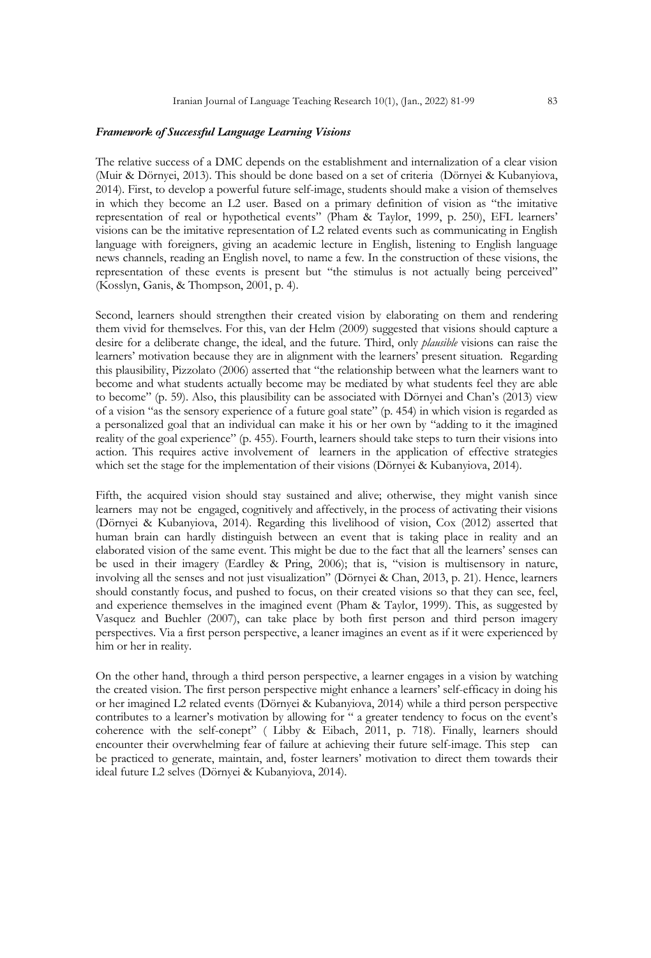#### *Framework of Successful Language Learning Visions*

The relative success of a DMC depends on the establishment and internalization of a clear vision (Muir & Dörnyei, 2013). This should be done based on a set of criteria (Dörnyei & Kubanyiova, 2014). First, to develop a powerful future self-image, students should make a vision of themselves in which they become an L2 user. Based on a primary definition of vision as "the imitative representation of real or hypothetical events" (Pham & Taylor, 1999, p. 250), EFL learners' visions can be the imitative representation of L2 related events such as communicating in English language with foreigners, giving an academic lecture in English, listening to English language news channels, reading an English novel, to name a few. In the construction of these visions, the representation of these events is present but "the stimulus is not actually being perceived" (Kosslyn, Ganis, & Thompson, 2001, p. 4).

Second, learners should strengthen their created vision by elaborating on them and rendering them vivid for themselves. For this, van der Helm (2009) suggested that visions should capture a desire for a deliberate change, the ideal, and the future. Third, only *plausible* visions can raise the learners' motivation because they are in alignment with the learners' present situation. Regarding this plausibility, Pizzolato (2006) asserted that "the relationship between what the learners want to become and what students actually become may be mediated by what students feel they are able to become" (p. 59). Also, this plausibility can be associated with Dörnyei and Chan's (2013) view of a vision "as the sensory experience of a future goal state" (p. 454) in which vision is regarded as a personalized goal that an individual can make it his or her own by "adding to it the imagined reality of the goal experience" (p. 455). Fourth, learners should take steps to turn their visions into action. This requires active involvement of learners in the application of effective strategies which set the stage for the implementation of their visions (Dörnyei & Kubanyiova, 2014).

Fifth, the acquired vision should stay sustained and alive; otherwise, they might vanish since learners may not be engaged, cognitively and affectively, in the process of activating their visions (Dörnyei & Kubanyiova, 2014). Regarding this livelihood of vision, Cox (2012) asserted that human brain can hardly distinguish between an event that is taking place in reality and an elaborated vision of the same event. This might be due to the fact that all the learners' senses can be used in their imagery (Eardley & Pring, 2006); that is, "vision is multisensory in nature, involving all the senses and not just visualization" (Dörnyei & Chan, 2013, p. 21). Hence, learners should constantly focus, and pushed to focus, on their created visions so that they can see, feel, and experience themselves in the imagined event (Pham & Taylor, 1999). This, as suggested by Vasquez and Buehler (2007), can take place by both first person and third person imagery perspectives. Via a first person perspective, a leaner imagines an event as if it were experienced by him or her in reality.

On the other hand, through a third person perspective, a learner engages in a vision by watching the created vision. The first person perspective might enhance a learners' self-efficacy in doing his or her imagined L2 related events (Dörnyei & Kubanyiova, 2014) while a third person perspective contributes to a learner's motivation by allowing for " a greater tendency to focus on the event's coherence with the self-conept" ( Libby & Eibach, 2011, p. 718). Finally, learners should encounter their overwhelming fear of failure at achieving their future self-image. This step can be practiced to generate, maintain, and, foster learners' motivation to direct them towards their ideal future L2 selves (Dörnyei & Kubanyiova, 2014).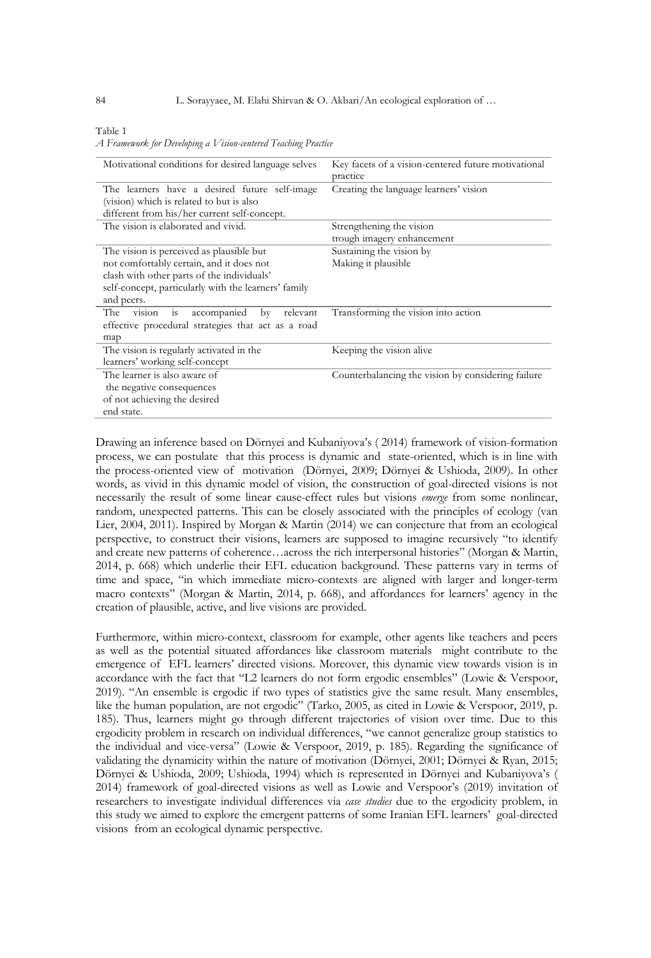#### Table 1

*A Framework for Developing a Vision-centered Teaching Practice*

| Motivational conditions for desired language selves         | Key facets of a vision-centered future motivational<br>practice |  |
|-------------------------------------------------------------|-----------------------------------------------------------------|--|
| The learners have a desired future self-image               | Creating the language learners' vision                          |  |
| (vision) which is related to but is also                    |                                                                 |  |
| different from his/her current self-concept.                |                                                                 |  |
| The vision is elaborated and vivid.                         | Strengthening the vision                                        |  |
|                                                             | trough imagery enhancement                                      |  |
| The vision is perceived as plausible but                    | Sustaining the vision by                                        |  |
| not comfortably certain, and it does not                    | Making it plausible                                             |  |
| clash with other parts of the individuals'                  |                                                                 |  |
| self-concept, particularly with the learners' family        |                                                                 |  |
| and peers.                                                  |                                                                 |  |
| accompanied<br>The<br>relevant<br>by<br>vision<br><b>1S</b> | Transforming the vision into action                             |  |
| effective procedural strategies that act as a road          |                                                                 |  |
| map                                                         |                                                                 |  |
| The vision is regularly activated in the                    | Keeping the vision alive                                        |  |
| learners' working self-concept                              |                                                                 |  |
| The learner is also aware of                                | Counterbalancing the vision by considering failure              |  |
| the negative consequences                                   |                                                                 |  |
| of not achieving the desired                                |                                                                 |  |
| end state.                                                  |                                                                 |  |

Drawing an inference based on Dörnyei and Kubaniyova's ( 2014) framework of vision-formation process, we can postulate that this process is dynamic and state-oriented, which is in line with the process-oriented view of motivation (Dörnyei, 2009; Dörnyei & Ushioda, 2009). In other words, as vivid in this dynamic model of vision, the construction of goal-directed visions is not necessarily the result of some linear cause-effect rules but visions *emerge* from some nonlinear, random, unexpected patterns. This can be closely associated with the principles of ecology (van Lier, 2004, 2011). Inspired by Morgan & Martin (2014) we can conjecture that from an ecological perspective, to construct their visions, learners are supposed to imagine recursively "to identify and create new patterns of coherence…across the rich interpersonal histories" (Morgan & Martin, 2014, p. 668) which underlie their EFL education background. These patterns vary in terms of time and space, "in which immediate micro-contexts are aligned with larger and longer-term macro contexts" (Morgan & Martin, 2014, p. 668), and affordances for learners' agency in the creation of plausible, active, and live visions are provided.

Furthermore, within micro-context, classroom for example, other agents like teachers and peers as well as the potential situated affordances like classroom materials might contribute to the emergence of EFL learners' directed visions. Moreover, this dynamic view towards vision is in accordance with the fact that "L2 learners do not form ergodic ensembles" (Lowie & Verspoor, 2019). "An ensemble is ergodic if two types of statistics give the same result. Many ensembles, like the human population, are not ergodic" (Tarko, 2005, as cited in Lowie & Verspoor, 2019, p. 185). Thus, learners might go through different trajectories of vision over time. Due to this ergodicity problem in research on individual differences, "we cannot generalize group statistics to the individual and vice-versa" (Lowie & Verspoor, 2019, p. 185). Regarding the significance of validating the dynamicity within the nature of motivation (Dörnyei, 2001; Dörnyei & Ryan, 2015; Dörnyei & Ushioda, 2009; Ushioda, 1994) which is represented in Dörnyei and Kubaniyova's ( 2014) framework of goal-directed visions as well as Lowie and Verspoor's (2019) invitation of researchers to investigate individual differences via *case studies* due to the ergodicity problem, in this study we aimed to explore the emergent patterns of some Iranian EFL learners' goal-directed visions from an ecological dynamic perspective.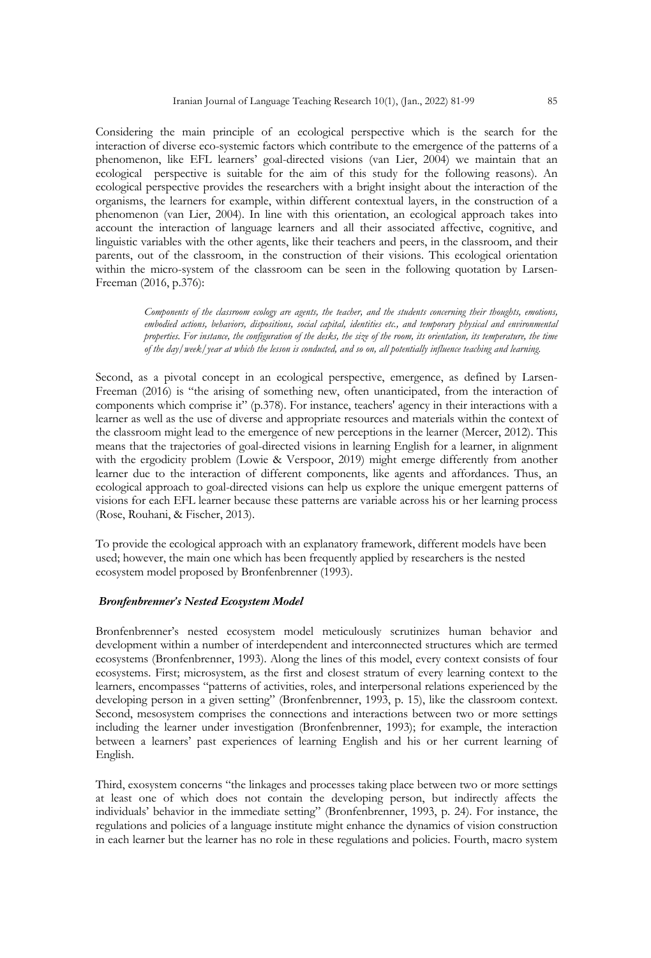Considering the main principle of an ecological perspective which is the search for the interaction of diverse eco-systemic factors which contribute to the emergence of the patterns of a phenomenon, like EFL learners' goal-directed visions (van Lier, 2004) we maintain that an ecological perspective is suitable for the aim of this study for the following reasons). An ecological perspective provides the researchers with a bright insight about the interaction of the organisms, the learners for example, within different contextual layers, in the construction of a phenomenon (van Lier, 2004). In line with this orientation, an ecological approach takes into account the interaction of language learners and all their associated affective, cognitive, and linguistic variables with the other agents, like their teachers and peers, in the classroom, and their parents, out of the classroom, in the construction of their visions. This ecological orientation within the micro-system of the classroom can be seen in the following quotation by Larsen-Freeman (2016, p.376):

> *Components of the classroom ecology are agents, the teacher, and the students concerning their thoughts, emotions, embodied actions, behaviors, dispositions, social capital, identities etc., and temporary physical and environmental properties. For instance, the configuration of the desks, the size of the room, its orientation, its temperature, the time of the day/week/year at which the lesson is conducted, and so on, all potentially influence teaching and learning.*

Second, as a pivotal concept in an ecological perspective, emergence, as defined by Larsen-Freeman (2016) is "the arising of something new, often unanticipated, from the interaction of components which comprise it" (p.378). For instance, teachers' agency in their interactions with a learner as well as the use of diverse and appropriate resources and materials within the context of the classroom might lead to the emergence of new perceptions in the learner (Mercer, 2012). This means that the trajectories of goal-directed visions in learning English for a learner, in alignment with the ergodicity problem (Lowie & Verspoor, 2019) might emerge differently from another learner due to the interaction of different components, like agents and affordances. Thus, an ecological approach to goal-directed visions can help us explore the unique emergent patterns of visions for each EFL learner because these patterns are variable across his or her learning process (Rose, Rouhani, & Fischer, 2013).

To provide the ecological approach with an explanatory framework, different models have been used; however, the main one which has been frequently applied by researchers is the nested ecosystem model proposed by Bronfenbrenner (1993).

## *Bronfenbrenner's Nested Ecosystem Model*

Bronfenbrenner's nested ecosystem model meticulously scrutinizes human behavior and development within a number of interdependent and interconnected structures which are termed ecosystems (Bronfenbrenner, 1993). Along the lines of this model, every context consists of four ecosystems. First; microsystem, as the first and closest stratum of every learning context to the learners, encompasses "patterns of activities, roles, and interpersonal relations experienced by the developing person in a given setting" (Bronfenbrenner, 1993, p. 15), like the classroom context. Second, mesosystem comprises the connections and interactions between two or more settings including the learner under investigation (Bronfenbrenner, 1993); for example, the interaction between a learners' past experiences of learning English and his or her current learning of English.

Third, exosystem concerns "the linkages and processes taking place between two or more settings at least one of which does not contain the developing person, but indirectly affects the individuals' behavior in the immediate setting" (Bronfenbrenner, 1993, p. 24). For instance, the regulations and policies of a language institute might enhance the dynamics of vision construction in each learner but the learner has no role in these regulations and policies. Fourth, macro system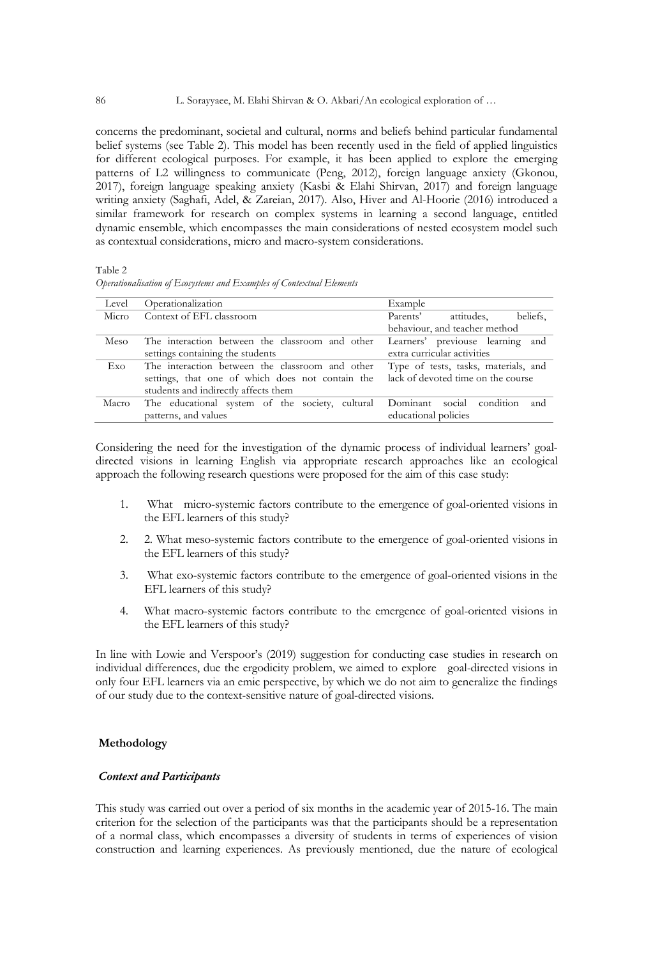concerns the predominant, societal and cultural, norms and beliefs behind particular fundamental belief systems (see Table 2). This model has been recently used in the field of applied linguistics for different ecological purposes. For example, it has been applied to explore the emerging patterns of L2 willingness to communicate (Peng, 2012), foreign language anxiety (Gkonou, 2017), foreign language speaking anxiety (Kasbi & Elahi Shirvan, 2017) and foreign language writing anxiety (Saghafi, Adel, & Zareian, 2017). Also, Hiver and Al-Hoorie (2016) introduced a similar framework for research on complex systems in learning a second language, entitled dynamic ensemble, which encompasses the main considerations of nested ecosystem model such as contextual considerations, micro and macro-system considerations.

Table 2 *Operationalisation of Ecosystems and Examples of Contextual Elements*

| Level | Operationalization                               | Example                                |  |  |
|-------|--------------------------------------------------|----------------------------------------|--|--|
| Micro | Context of EFL classroom                         | attitudes,<br>beliefs.<br>Parents'     |  |  |
|       |                                                  | behaviour, and teacher method          |  |  |
| Meso  | The interaction between the classroom and other  | Learners' previouse learning and       |  |  |
|       | settings containing the students                 | extra curricular activities            |  |  |
| Exo   | The interaction between the classroom and other  | Type of tests, tasks, materials, and   |  |  |
|       | settings, that one of which does not contain the | lack of devoted time on the course     |  |  |
|       | students and indirectly affects them             |                                        |  |  |
| Macro | The educational system of the society, cultural  | Dominant<br>condition<br>and<br>social |  |  |
|       | patterns, and values                             | educational policies                   |  |  |

Considering the need for the investigation of the dynamic process of individual learners' goaldirected visions in learning English via appropriate research approaches like an ecological approach the following research questions were proposed for the aim of this case study:

- 1. What micro-systemic factors contribute to the emergence of goal-oriented visions in the EFL learners of this study?
- 2. 2. What meso-systemic factors contribute to the emergence of goal-oriented visions in the EFL learners of this study?
- 3. What exo-systemic factors contribute to the emergence of goal-oriented visions in the EFL learners of this study?
- 4. What macro-systemic factors contribute to the emergence of goal-oriented visions in the EFL learners of this study?

In line with Lowie and Verspoor's (2019) suggestion for conducting case studies in research on individual differences, due the ergodicity problem, we aimed to explore goal-directed visions in only four EFL learners via an emic perspective, by which we do not aim to generalize the findings of our study due to the context-sensitive nature of goal-directed visions.

# **Methodology**

# *Context and Participants*

This study was carried out over a period of six months in the academic year of 2015-16. The main criterion for the selection of the participants was that the participants should be a representation of a normal class, which encompasses a diversity of students in terms of experiences of vision construction and learning experiences. As previously mentioned, due the nature of ecological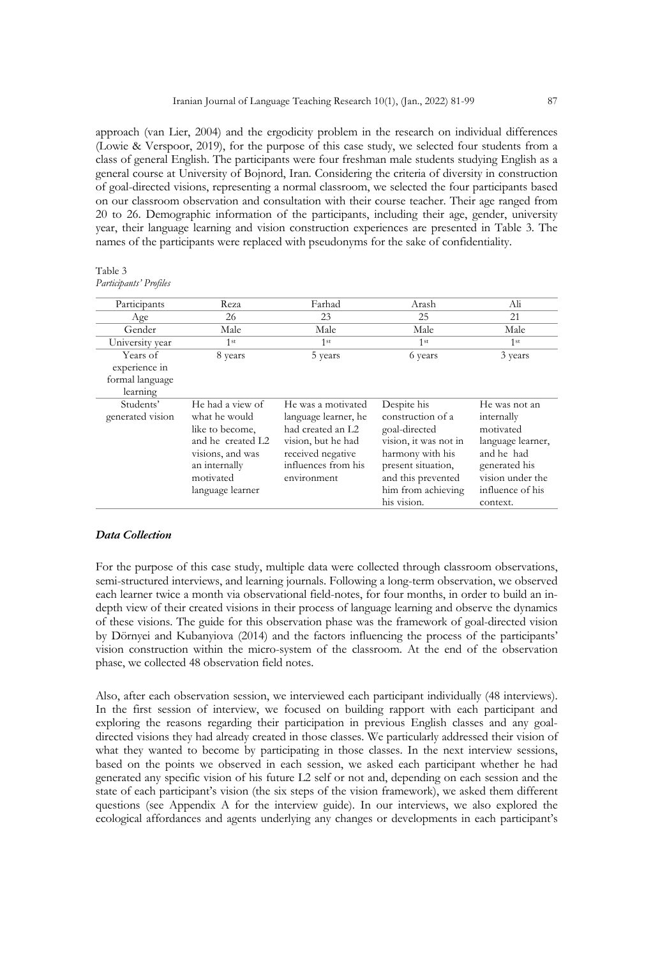approach (van Lier, 2004) and the ergodicity problem in the research on individual differences (Lowie & Verspoor, 2019), for the purpose of this case study, we selected four students from a class of general English. The participants were four freshman male students studying English as a general course at University of Bojnord, Iran. Considering the criteria of diversity in construction of goal-directed visions, representing a normal classroom, we selected the four participants based on our classroom observation and consultation with their course teacher. Their age ranged from 20 to 26. Demographic information of the participants, including their age, gender, university year, their language learning and vision construction experiences are presented in Table 3. The names of the participants were replaced with pseudonyms for the sake of confidentiality.

| Table 3                |  |
|------------------------|--|
| Participants' Profiles |  |

| Participants                  | Reza                                                                                                                                            | Farhad                                                                                                                                           | Arash                                                                                                                                                                           | Ali                                                                                                                                              |
|-------------------------------|-------------------------------------------------------------------------------------------------------------------------------------------------|--------------------------------------------------------------------------------------------------------------------------------------------------|---------------------------------------------------------------------------------------------------------------------------------------------------------------------------------|--------------------------------------------------------------------------------------------------------------------------------------------------|
| Age                           | 26                                                                                                                                              | 23                                                                                                                                               | 25                                                                                                                                                                              | 21                                                                                                                                               |
| Gender                        | Male                                                                                                                                            | Male                                                                                                                                             | Male                                                                                                                                                                            | Male                                                                                                                                             |
| University year               | 1 <sup>st</sup>                                                                                                                                 | 1 <sup>st</sup>                                                                                                                                  | 1 <sup>st</sup>                                                                                                                                                                 | 1 <sup>st</sup>                                                                                                                                  |
| Years of<br>experience in     | 8 years                                                                                                                                         | 5 years                                                                                                                                          | 6 years                                                                                                                                                                         | 3 years                                                                                                                                          |
| formal language<br>learning   |                                                                                                                                                 |                                                                                                                                                  |                                                                                                                                                                                 |                                                                                                                                                  |
| Students'<br>generated vision | He had a view of<br>what he would<br>like to become,<br>and he created L2<br>visions, and was<br>an internally<br>motivated<br>language learner | He was a motivated<br>language learner, he<br>had created an L2<br>vision, but he had<br>received negative<br>influences from his<br>environment | Despite his<br>construction of a<br>goal-directed<br>vision, it was not in<br>harmony with his<br>present situation,<br>and this prevented<br>him from achieving<br>his vision. | He was not an<br>internally<br>motivated<br>language learner,<br>and he had<br>generated his<br>vision under the<br>influence of his<br>context. |

## *Data Collection*

For the purpose of this case study, multiple data were collected through classroom observations, semi-structured interviews, and learning journals. Following a long-term observation, we observed each learner twice a month via observational field-notes, for four months, in order to build an indepth view of their created visions in their process of language learning and observe the dynamics of these visions. The guide for this observation phase was the framework of goal-directed vision by Dörnyei and Kubanyiova (2014) and the factors influencing the process of the participants' vision construction within the micro-system of the classroom. At the end of the observation phase, we collected 48 observation field notes.

Also, after each observation session, we interviewed each participant individually (48 interviews). In the first session of interview, we focused on building rapport with each participant and exploring the reasons regarding their participation in previous English classes and any goaldirected visions they had already created in those classes. We particularly addressed their vision of what they wanted to become by participating in those classes. In the next interview sessions, based on the points we observed in each session, we asked each participant whether he had generated any specific vision of his future L2 self or not and, depending on each session and the state of each participant's vision (the six steps of the vision framework), we asked them different questions (see Appendix A for the interview guide). In our interviews, we also explored the ecological affordances and agents underlying any changes or developments in each participant's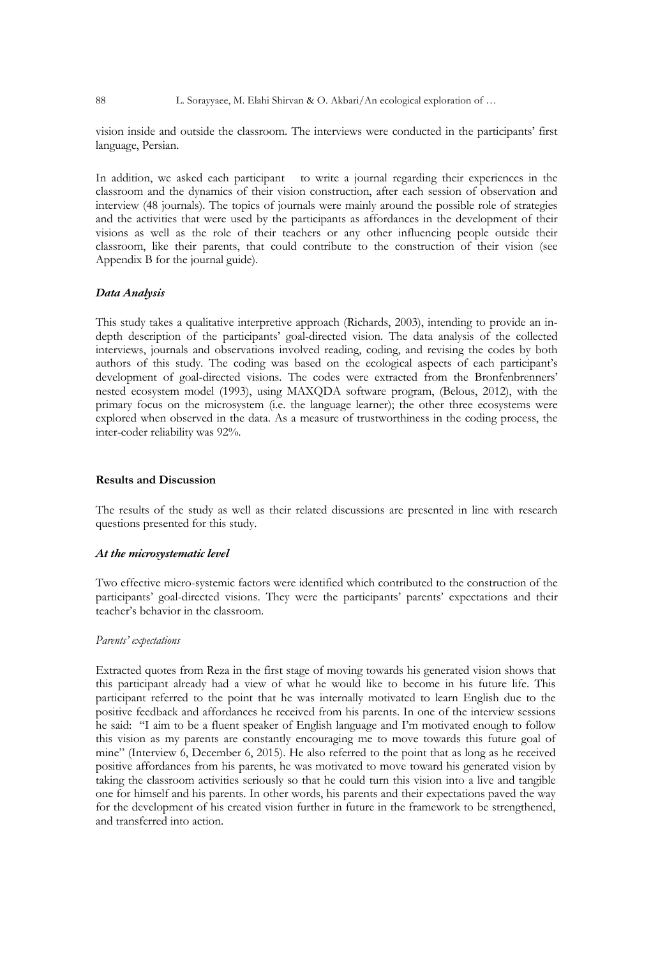88 L. Sorayyaee, M. Elahi Shirvan & O. Akbari/An ecological exploration of ...

vision inside and outside the classroom. The interviews were conducted in the participants' first language, Persian.

In addition, we asked each participant to write a journal regarding their experiences in the classroom and the dynamics of their vision construction, after each session of observation and interview (48 journals). The topics of journals were mainly around the possible role of strategies and the activities that were used by the participants as affordances in the development of their visions as well as the role of their teachers or any other influencing people outside their classroom, like their parents, that could contribute to the construction of their vision (see Appendix B for the journal guide).

#### *Data Analysis*

This study takes a qualitative interpretive approach (Richards, 2003), intending to provide an indepth description of the participants' goal-directed vision. The data analysis of the collected interviews, journals and observations involved reading, coding, and revising the codes by both authors of this study. The coding was based on the ecological aspects of each participant's development of goal-directed visions. The codes were extracted from the Bronfenbrenners' nested ecosystem model (1993), using MAXQDA software program, (Belous, 2012), with the primary focus on the microsystem (i.e. the language learner); the other three ecosystems were explored when observed in the data. As a measure of trustworthiness in the coding process, the inter-coder reliability was 92%.

## **Results and Discussion**

The results of the study as well as their related discussions are presented in line with research questions presented for this study.

#### *At the microsystematic level*

Two effective micro-systemic factors were identified which contributed to the construction of the participants' goal-directed visions. They were the participants' parents' expectations and their teacher's behavior in the classroom.

#### *Parents' expectations*

Extracted quotes from Reza in the first stage of moving towards his generated vision shows that this participant already had a view of what he would like to become in his future life. This participant referred to the point that he was internally motivated to learn English due to the positive feedback and affordances he received from his parents. In one of the interview sessions he said: "I aim to be a fluent speaker of English language and I'm motivated enough to follow this vision as my parents are constantly encouraging me to move towards this future goal of mine" (Interview 6, December 6, 2015). He also referred to the point that as long as he received positive affordances from his parents, he was motivated to move toward his generated vision by taking the classroom activities seriously so that he could turn this vision into a live and tangible one for himself and his parents. In other words, his parents and their expectations paved the way for the development of his created vision further in future in the framework to be strengthened, and transferred into action.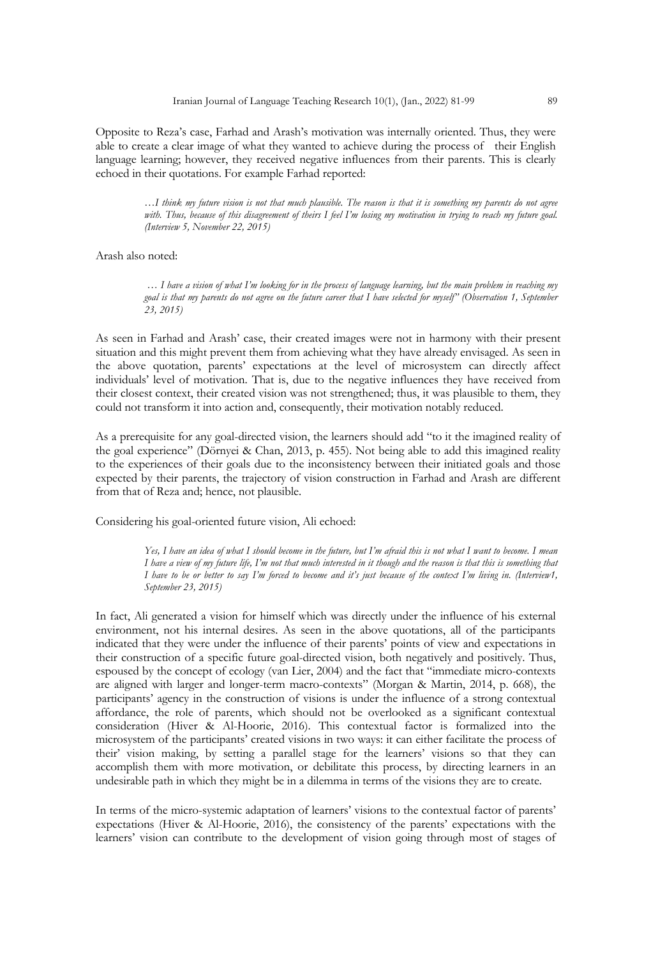Opposite to Reza's case, Farhad and Arash's motivation was internally oriented. Thus, they were able to create a clear image of what they wanted to achieve during the process of their English language learning; however, they received negative influences from their parents. This is clearly echoed in their quotations. For example Farhad reported:

> *…I think my future vision is not that much plausible. The reason is that it is something my parents do not agree with. Thus, because of this disagreement of theirs I feel I'm losing my motivation in trying to reach my future goal. (Interview 5, November 22, 2015)*

Arash also noted:

*… I have a vision of what I'm looking for in the process of language learning, but the main problem in reaching my goal is that my parents do not agree on the future career that I have selected for myself" (Observation 1, September 23, 2015)*

As seen in Farhad and Arash' case, their created images were not in harmony with their present situation and this might prevent them from achieving what they have already envisaged. As seen in the above quotation, parents' expectations at the level of microsystem can directly affect individuals' level of motivation. That is, due to the negative influences they have received from their closest context, their created vision was not strengthened; thus, it was plausible to them, they could not transform it into action and, consequently, their motivation notably reduced.

As a prerequisite for any goal-directed vision, the learners should add "to it the imagined reality of the goal experience" (Dörnyei & Chan, 2013, p. 455). Not being able to add this imagined reality to the experiences of their goals due to the inconsistency between their initiated goals and those expected by their parents, the trajectory of vision construction in Farhad and Arash are different from that of Reza and; hence, not plausible.

Considering his goal-oriented future vision, Ali echoed:

*Yes, I have an idea of what I should become in the future, but I'm afraid this is not what I want to become. I mean I have a view of my future life, I'm not that much interested in it though and the reason is that this is something that I have to be or better to say I'm forced to become and it's just because of the context I'm living in. (Interview1, September 23, 2015)*

In fact, Ali generated a vision for himself which was directly under the influence of his external environment, not his internal desires. As seen in the above quotations, all of the participants indicated that they were under the influence of their parents' points of view and expectations in their construction of a specific future goal-directed vision, both negatively and positively. Thus, espoused by the concept of ecology (van Lier, 2004) and the fact that "immediate micro-contexts are aligned with larger and longer-term macro-contexts" (Morgan & Martin, 2014, p. 668), the participants' agency in the construction of visions is under the influence of a strong contextual affordance, the role of parents, which should not be overlooked as a significant contextual consideration (Hiver & Al-Hoorie, 2016). This contextual factor is formalized into the microsystem of the participants' created visions in two ways: it can either facilitate the process of their' vision making, by setting a parallel stage for the learners' visions so that they can accomplish them with more motivation, or debilitate this process, by directing learners in an undesirable path in which they might be in a dilemma in terms of the visions they are to create.

In terms of the micro-systemic adaptation of learners' visions to the contextual factor of parents' expectations (Hiver & Al-Hoorie, 2016), the consistency of the parents' expectations with the learners' vision can contribute to the development of vision going through most of stages of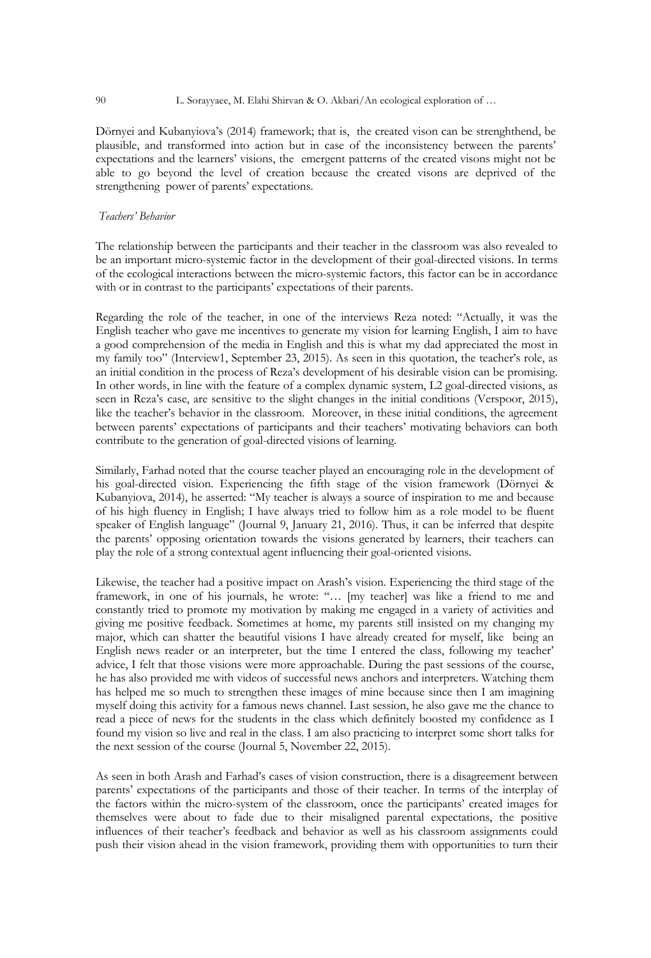Dörnyei and Kubanyiova's (2014) framework; that is, the created vison can be strenghthend, be plausible, and transformed into action but in case of the inconsistency between the parents' expectations and the learners' visions, the emergent patterns of the created visons might not be able to go beyond the level of creation because the created visons are deprived of the strengthening power of parents' expectations.

# *Teachers' Behavior*

The relationship between the participants and their teacher in the classroom was also revealed to be an important micro-systemic factor in the development of their goal-directed visions. In terms of the ecological interactions between the micro-systemic factors, this factor can be in accordance with or in contrast to the participants' expectations of their parents.

Regarding the role of the teacher, in one of the interviews Reza noted: "Actually, it was the English teacher who gave me incentives to generate my vision for learning English, I aim to have a good comprehension of the media in English and this is what my dad appreciated the most in my family too" (Interview1, September 23, 2015). As seen in this quotation, the teacher's role, as an initial condition in the process of Reza's development of his desirable vision can be promising. In other words, in line with the feature of a complex dynamic system, L2 goal-directed visions, as seen in Reza's case, are sensitive to the slight changes in the initial conditions (Verspoor, 2015), like the teacher's behavior in the classroom. Moreover, in these initial conditions, the agreement between parents' expectations of participants and their teachers' motivating behaviors can both contribute to the generation of goal-directed visions of learning.

Similarly, Farhad noted that the course teacher played an encouraging role in the development of his goal-directed vision. Experiencing the fifth stage of the vision framework (Dörnyei & Kubanyiova, 2014), he asserted: "My teacher is always a source of inspiration to me and because of his high fluency in English; I have always tried to follow him as a role model to be fluent speaker of English language" (Journal 9, January 21, 2016). Thus, it can be inferred that despite the parents' opposing orientation towards the visions generated by learners, their teachers can play the role of a strong contextual agent influencing their goal-oriented visions.

Likewise, the teacher had a positive impact on Arash's vision. Experiencing the third stage of the framework, in one of his journals, he wrote: "… [my teacher] was like a friend to me and constantly tried to promote my motivation by making me engaged in a variety of activities and giving me positive feedback. Sometimes at home, my parents still insisted on my changing my major, which can shatter the beautiful visions I have already created for myself, like being an English news reader or an interpreter, but the time I entered the class, following my teacher' advice, I felt that those visions were more approachable. During the past sessions of the course, he has also provided me with videos of successful news anchors and interpreters. Watching them has helped me so much to strengthen these images of mine because since then I am imagining myself doing this activity for a famous news channel. Last session, he also gave me the chance to read a piece of news for the students in the class which definitely boosted my confidence as I found my vision so live and real in the class. I am also practicing to interpret some short talks for the next session of the course (Journal 5, November 22, 2015).

As seen in both Arash and Farhad's cases of vision construction, there is a disagreement between parents' expectations of the participants and those of their teacher. In terms of the interplay of the factors within the micro-system of the classroom, once the participants' created images for themselves were about to fade due to their misaligned parental expectations, the positive influences of their teacher's feedback and behavior as well as his classroom assignments could push their vision ahead in the vision framework, providing them with opportunities to turn their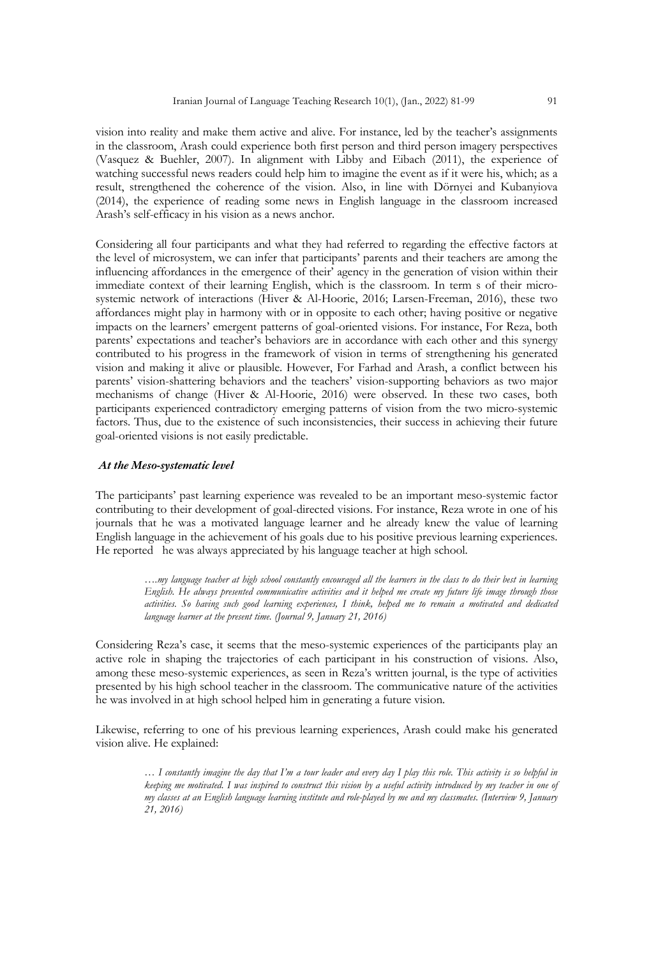vision into reality and make them active and alive. For instance, led by the teacher's assignments in the classroom, Arash could experience both first person and third person imagery perspectives (Vasquez & Buehler, 2007). In alignment with Libby and Eibach (2011), the experience of watching successful news readers could help him to imagine the event as if it were his, which; as a result, strengthened the coherence of the vision. Also, in line with Dörnyei and Kubanyiova (2014), the experience of reading some news in English language in the classroom increased Arash's self-efficacy in his vision as a news anchor.

Considering all four participants and what they had referred to regarding the effective factors at the level of microsystem, we can infer that participants' parents and their teachers are among the influencing affordances in the emergence of their' agency in the generation of vision within their immediate context of their learning English, which is the classroom. In term s of their microsystemic network of interactions (Hiver & Al-Hoorie, 2016; Larsen-Freeman, 2016), these two affordances might play in harmony with or in opposite to each other; having positive or negative impacts on the learners' emergent patterns of goal-oriented visions. For instance, For Reza, both parents' expectations and teacher's behaviors are in accordance with each other and this synergy contributed to his progress in the framework of vision in terms of strengthening his generated vision and making it alive or plausible. However, For Farhad and Arash, a conflict between his parents' vision-shattering behaviors and the teachers' vision-supporting behaviors as two major mechanisms of change (Hiver & Al-Hoorie, 2016) were observed. In these two cases, both participants experienced contradictory emerging patterns of vision from the two micro-systemic factors. Thus, due to the existence of such inconsistencies, their success in achieving their future goal-oriented visions is not easily predictable.

#### *At the Meso-systematic level*

The participants' past learning experience was revealed to be an important meso-systemic factor contributing to their development of goal-directed visions. For instance, Reza wrote in one of his journals that he was a motivated language learner and he already knew the value of learning English language in the achievement of his goals due to his positive previous learning experiences. He reported he was always appreciated by his language teacher at high school.

> *….my language teacher at high school constantly encouraged all the learners in the class to do their best in learning English. He always presented communicative activities and it helped me create my future life image through those activities. So having such good learning experiences, I think, helped me to remain a motivated and dedicated language learner at the present time. (Journal 9, January 21, 2016)*

Considering Reza's case, it seems that the meso-systemic experiences of the participants play an active role in shaping the trajectories of each participant in his construction of visions. Also, among these meso-systemic experiences, as seen in Reza's written journal, is the type of activities presented by his high school teacher in the classroom. The communicative nature of the activities he was involved in at high school helped him in generating a future vision.

Likewise, referring to one of his previous learning experiences, Arash could make his generated vision alive. He explained:

> *… I constantly imagine the day that I'm a tour leader and every day I play this role. This activity is so helpful in keeping me motivated. I was inspired to construct this vision by a useful activity introduced by my teacher in one of my classes at an English language learning institute and role-played by me and my classmates. (Interview 9, January 21, 2016)*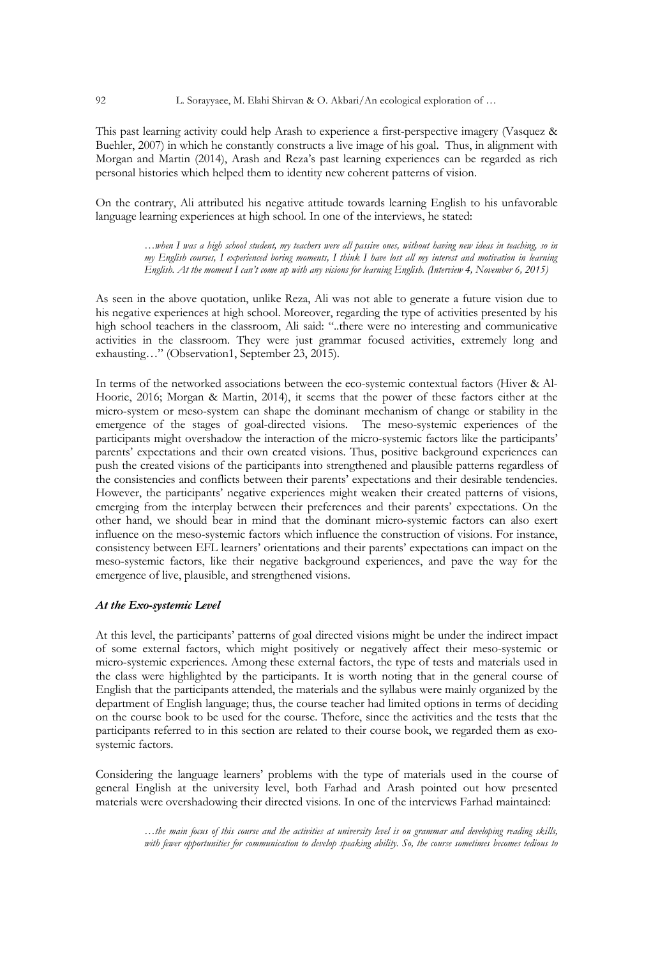92 L. Sorayyaee, M. Elahi Shirvan & O. Akbari/An ecological exploration of …

This past learning activity could help Arash to experience a first-perspective imagery (Vasquez & Buehler, 2007) in which he constantly constructs a live image of his goal. Thus, in alignment with Morgan and Martin (2014), Arash and Reza's past learning experiences can be regarded as rich personal histories which helped them to identity new coherent patterns of vision.

On the contrary, Ali attributed his negative attitude towards learning English to his unfavorable language learning experiences at high school. In one of the interviews, he stated:

> *…when I was a high school student, my teachers were all passive ones, without having new ideas in teaching, so in my English courses, I experienced boring moments, I think I have lost all my interest and motivation in learning English. At the moment I can't come up with any visions for learning English. (Interview 4, November 6, 2015)*

As seen in the above quotation, unlike Reza, Ali was not able to generate a future vision due to his negative experiences at high school. Moreover, regarding the type of activities presented by his high school teachers in the classroom, Ali said: "..there were no interesting and communicative activities in the classroom. They were just grammar focused activities, extremely long and exhausting…" (Observation1, September 23, 2015).

In terms of the networked associations between the eco-systemic contextual factors (Hiver & Al-Hoorie, 2016; Morgan & Martin, 2014), it seems that the power of these factors either at the micro-system or meso-system can shape the dominant mechanism of change or stability in the emergence of the stages of goal-directed visions. The meso-systemic experiences of the participants might overshadow the interaction of the micro-systemic factors like the participants' parents' expectations and their own created visions. Thus, positive background experiences can push the created visions of the participants into strengthened and plausible patterns regardless of the consistencies and conflicts between their parents' expectations and their desirable tendencies. However, the participants' negative experiences might weaken their created patterns of visions, emerging from the interplay between their preferences and their parents' expectations. On the other hand, we should bear in mind that the dominant micro-systemic factors can also exert influence on the meso-systemic factors which influence the construction of visions. For instance, consistency between EFL learners' orientations and their parents' expectations can impact on the meso-systemic factors, like their negative background experiences, and pave the way for the emergence of live, plausible, and strengthened visions.

# *At the Exo-systemic Level*

At this level, the participants' patterns of goal directed visions might be under the indirect impact of some external factors, which might positively or negatively affect their meso-systemic or micro-systemic experiences. Among these external factors, the type of tests and materials used in the class were highlighted by the participants. It is worth noting that in the general course of English that the participants attended, the materials and the syllabus were mainly organized by the department of English language; thus, the course teacher had limited options in terms of deciding on the course book to be used for the course. Thefore, since the activities and the tests that the participants referred to in this section are related to their course book, we regarded them as exosystemic factors.

Considering the language learners' problems with the type of materials used in the course of general English at the university level, both Farhad and Arash pointed out how presented materials were overshadowing their directed visions. In one of the interviews Farhad maintained:

> *…the main focus of this course and the activities at university level is on grammar and developing reading skills, with fewer opportunities for communication to develop speaking ability. So, the course sometimes becomes tedious to*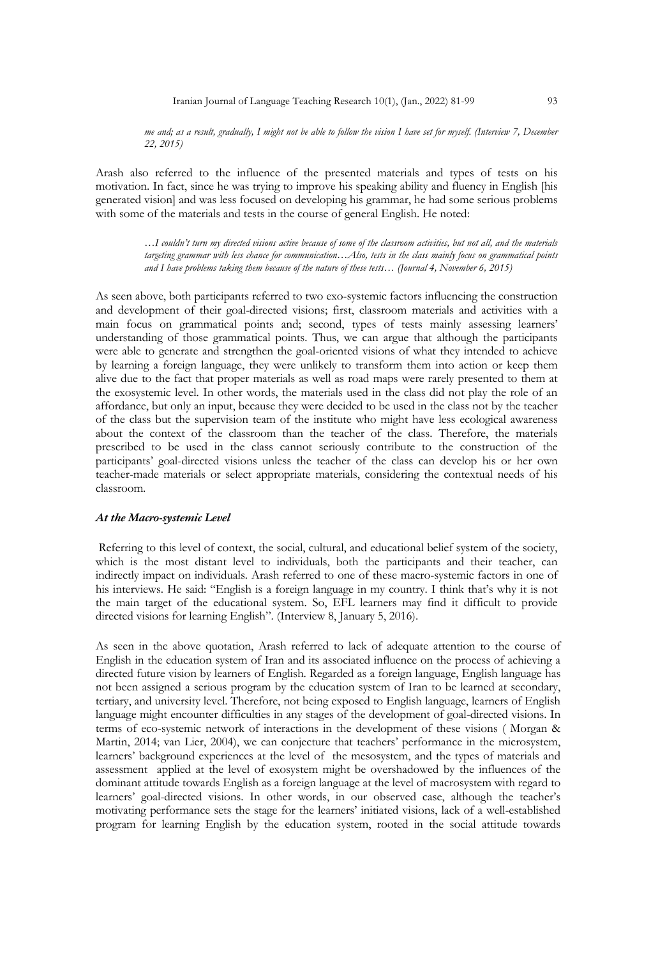*me and; as a result, gradually, I might not be able to follow the vision I have set for myself. (Interview 7, December 22, 2015)*

Arash also referred to the influence of the presented materials and types of tests on his motivation. In fact, since he was trying to improve his speaking ability and fluency in English [his generated vision] and was less focused on developing his grammar, he had some serious problems with some of the materials and tests in the course of general English. He noted:

*…I couldn't turn my directed visions active because of some of the classroom activities, but not all, and the materials targeting grammar with less chance for communication…Also, tests in the class mainly focus on grammatical points and I have problems taking them because of the nature of these tests… (Journal 4, November 6, 2015)*

As seen above, both participants referred to two exo-systemic factors influencing the construction and development of their goal-directed visions; first, classroom materials and activities with a main focus on grammatical points and; second, types of tests mainly assessing learners' understanding of those grammatical points. Thus, we can argue that although the participants were able to generate and strengthen the goal-oriented visions of what they intended to achieve by learning a foreign language, they were unlikely to transform them into action or keep them alive due to the fact that proper materials as well as road maps were rarely presented to them at the exosystemic level. In other words, the materials used in the class did not play the role of an affordance, but only an input, because they were decided to be used in the class not by the teacher of the class but the supervision team of the institute who might have less ecological awareness about the context of the classroom than the teacher of the class. Therefore, the materials prescribed to be used in the class cannot seriously contribute to the construction of the participants' goal-directed visions unless the teacher of the class can develop his or her own teacher-made materials or select appropriate materials, considering the contextual needs of his classroom.

# *At the Macro-systemic Level*

Referring to this level of context, the social, cultural, and educational belief system of the society, which is the most distant level to individuals, both the participants and their teacher, can indirectly impact on individuals. Arash referred to one of these macro-systemic factors in one of his interviews. He said: "English is a foreign language in my country. I think that's why it is not the main target of the educational system. So, EFL learners may find it difficult to provide directed visions for learning English". (Interview 8, January 5, 2016).

As seen in the above quotation, Arash referred to lack of adequate attention to the course of English in the education system of Iran and its associated influence on the process of achieving a directed future vision by learners of English. Regarded as a foreign language, English language has not been assigned a serious program by the education system of Iran to be learned at secondary, tertiary, and university level. Therefore, not being exposed to English language, learners of English language might encounter difficulties in any stages of the development of goal-directed visions. In terms of eco-systemic network of interactions in the development of these visions ( Morgan & Martin, 2014; van Lier, 2004), we can conjecture that teachers' performance in the microsystem, learners' background experiences at the level of the mesosystem, and the types of materials and assessment applied at the level of exosystem might be overshadowed by the influences of the dominant attitude towards English as a foreign language at the level of macrosystem with regard to learners' goal-directed visions. In other words, in our observed case, although the teacher's motivating performance sets the stage for the learners' initiated visions, lack of a well-established program for learning English by the education system, rooted in the social attitude towards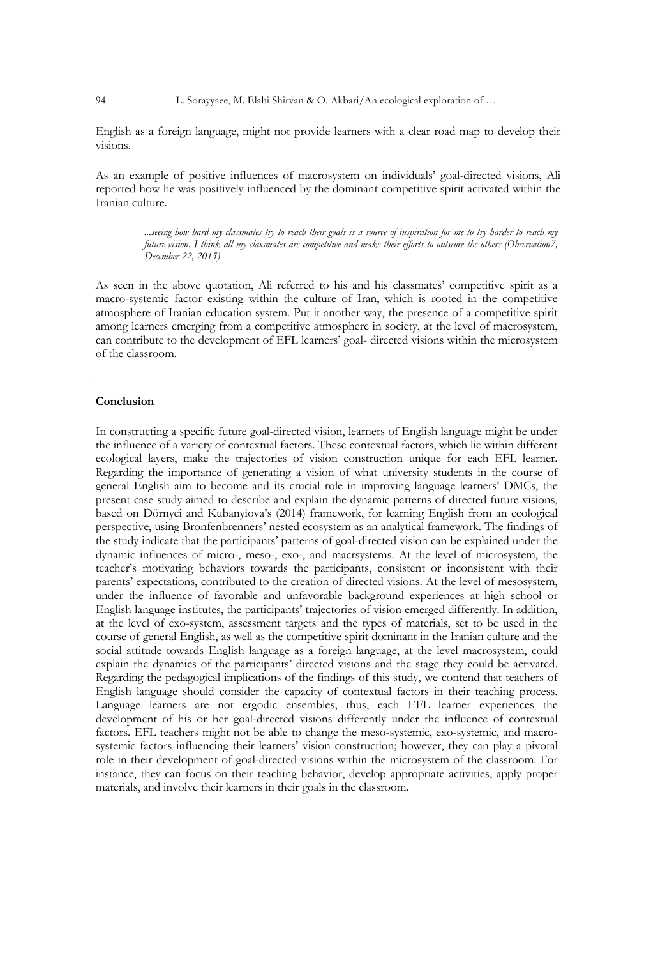94 L. Sorayyaee, M. Elahi Shirvan & O. Akbari/An ecological exploration of …

English as a foreign language, might not provide learners with a clear road map to develop their visions.

As an example of positive influences of macrosystem on individuals' goal-directed visions, Ali reported how he was positively influenced by the dominant competitive spirit activated within the Iranian culture.

*...seeing how hard my classmates try to reach their goals is a source of inspiration for me to try harder to reach my future vision. I think all my classmates are competitive and make their efforts to outscore the others (Observation7, December 22, 2015)*

As seen in the above quotation, Ali referred to his and his classmates' competitive spirit as a macro-systemic factor existing within the culture of Iran, which is rooted in the competitive atmosphere of Iranian education system. Put it another way, the presence of a competitive spirit among learners emerging from a competitive atmosphere in society, at the level of macrosystem, can contribute to the development of EFL learners' goal- directed visions within the microsystem of the classroom.

# **Conclusion**

In constructing a specific future goal-directed vision, learners of English language might be under the influence of a variety of contextual factors. These contextual factors, which lie within different ecological layers, make the trajectories of vision construction unique for each EFL learner. Regarding the importance of generating a vision of what university students in the course of general English aim to become and its crucial role in improving language learners' DMCs, the present case study aimed to describe and explain the dynamic patterns of directed future visions, based on Dörnyei and Kubanyiova's (2014) framework, for learning English from an ecological perspective, using Bronfenbrenners' nested ecosystem as an analytical framework. The findings of the study indicate that the participants' patterns of goal-directed vision can be explained under the dynamic influences of micro-, meso-, exo-, and macrsystems. At the level of microsystem, the teacher's motivating behaviors towards the participants, consistent or inconsistent with their parents' expectations, contributed to the creation of directed visions. At the level of mesosystem, under the influence of favorable and unfavorable background experiences at high school or English language institutes, the participants' trajectories of vision emerged differently. In addition, at the level of exo-system, assessment targets and the types of materials, set to be used in the course of general English, as well as the competitive spirit dominant in the Iranian culture and the social attitude towards English language as a foreign language, at the level macrosystem, could explain the dynamics of the participants' directed visions and the stage they could be activated. Regarding the pedagogical implications of the findings of this study, we contend that teachers of English language should consider the capacity of contextual factors in their teaching process. Language learners are not ergodic ensembles; thus, each EFL learner experiences the development of his or her goal-directed visions differently under the influence of contextual factors. EFL teachers might not be able to change the meso-systemic, exo-systemic, and macrosystemic factors influencing their learners' vision construction; however, they can play a pivotal role in their development of goal-directed visions within the microsystem of the classroom. For instance, they can focus on their teaching behavior, develop appropriate activities, apply proper materials, and involve their learners in their goals in the classroom.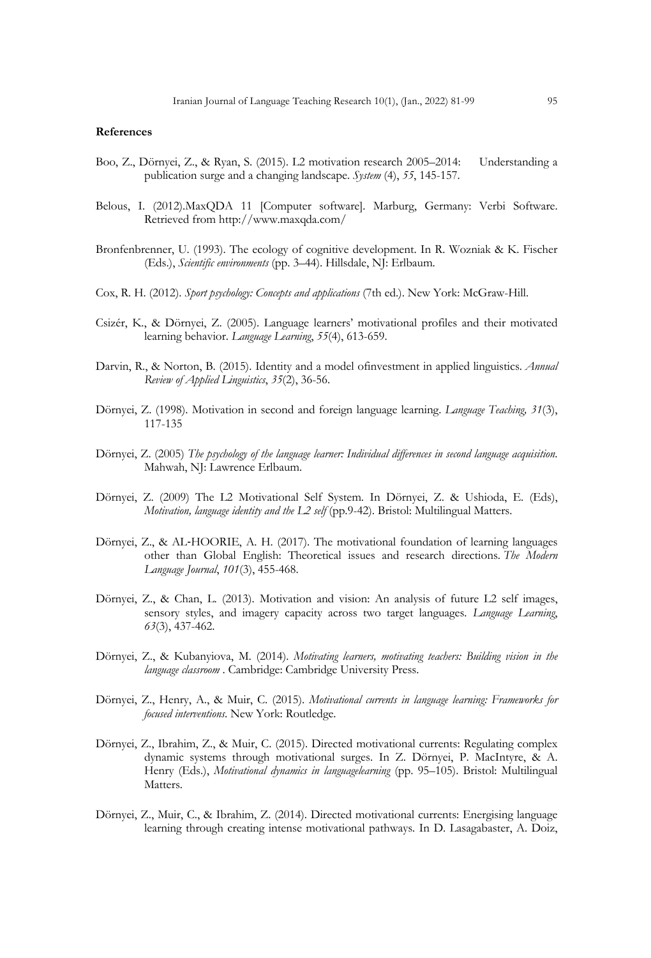#### **References**

- Boo, Z., Dörnyei, Z., & Ryan, S. (2015). L2 motivation research 2005–2014: Understanding a publication surge and a changing landscape. *System* (4), *55*, 145-157.
- Belous, I. (2012).MaxQDA 11 [Computer software]. Marburg, Germany: Verbi Software. Retrieved from http://www.maxqda.com/
- Bronfenbrenner, U. (1993). The ecology of cognitive development. In R. Wozniak & K. Fischer (Eds.), *Scientific environments* (pp. 3–44). Hillsdale, NJ: Erlbaum.
- Cox, R. H. (2012). *Sport psychology: Concepts and applications* (7th ed.). New York: McGraw-Hill.
- Csizér, K., & Dörnyei, Z. (2005). Language learners' motivational profiles and their motivated learning behavior. *Language Learning*, *55*(4), 613-659.
- Darvin, R., & Norton, B. (2015). Identity and a model ofinvestment in applied linguistics. *Annual Review of Applied Linguistics*, *35*(2), 36-56.
- Dörnyei, Z. (1998). Motivation in second and foreign language learning. *Language Teaching, 31*(3), 117-135
- Dörnyei, Z. (2005) *The psychology of the language learner: Individual differences in second language acquisition*. Mahwah, NJ: Lawrence Erlbaum.
- Dörnyei, Z. (2009) The L2 Motivational Self System. In Dörnyei, Z. & Ushioda, E. (Eds), *Motivation, language identity and the L2 self* (pp.9-42). Bristol: Multilingual Matters.
- Dörnyei, Z., & AL-HOORIE, A. H. (2017). The motivational foundation of learning languages other than Global English: Theoretical issues and research directions. *The Modern Language Journal*, *101*(3), 455-468.
- Dörnyei, Z., & Chan, L. (2013). Motivation and vision: An analysis of future L2 self images, sensory styles, and imagery capacity across two target languages. *Language Learning*, *63*(3), 437-462.
- Dörnyei, Z., & Kubanyiova, M. (2014). *Motivating learners, motivating teachers: Building vision in the language classroom* . Cambridge: Cambridge University Press.
- Dörnyei, Z., Henry, A., & Muir, C. (2015). *Motivational currents in language learning: Frameworks for focused interventions*. New York: Routledge.
- Dörnyei, Z., Ibrahim, Z., & Muir, C. (2015). Directed motivational currents: Regulating complex dynamic systems through motivational surges. In Z. Dörnyei, P. MacIntyre, & A. Henry (Eds.), *Motivational dynamics in languagelearning* (pp. 95–105). Bristol: Multilingual Matters.
- Dörnyei, Z., Muir, C., & Ibrahim, Z. (2014). Directed motivational currents: Energising language learning through creating intense motivational pathways. In D. Lasagabaster, A. Doiz,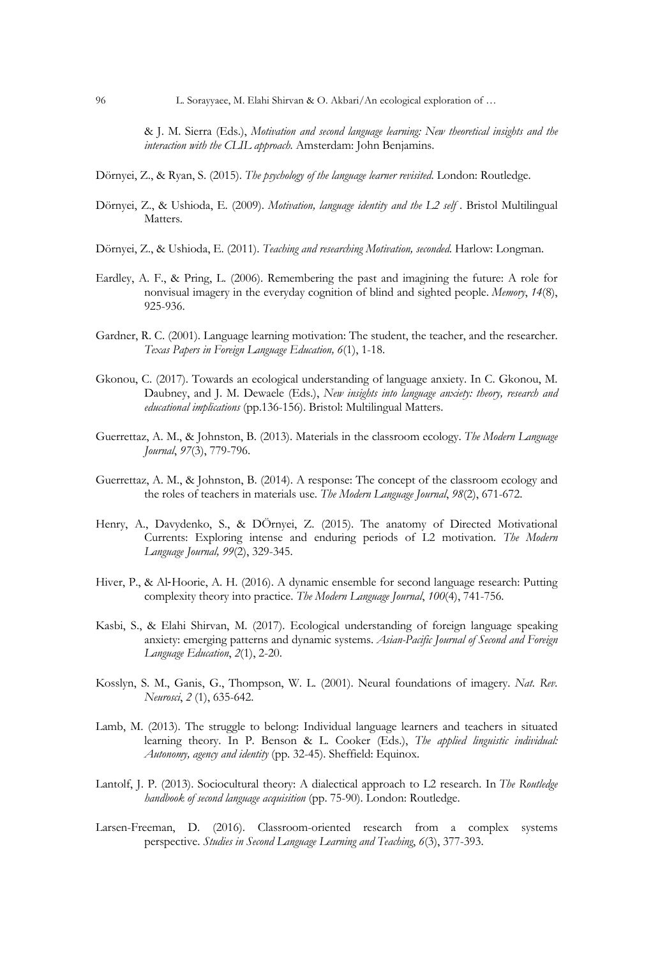96 L. Sorayyaee, M. Elahi Shirvan & O. Akbari/An ecological exploration of …

& J. M. Sierra (Eds.), *Motivation and second language learning: New theoretical insights and the interaction with the CLIL approach.* Amsterdam: John Benjamins.

- Dörnyei, Z., & Ryan, S. (2015). *The psychology of the language learner revisited*. London: Routledge.
- Dörnyei, Z., & Ushioda, E. (2009). *Motivation, language identity and the L2 self* . Bristol Multilingual Matters.
- Dörnyei, Z., & Ushioda, E. (2011). *Teaching and researching Motivation, seconded*. Harlow: Longman.
- Eardley, A. F., & Pring, L. (2006). Remembering the past and imagining the future: A role for nonvisual imagery in the everyday cognition of blind and sighted people. *Memory*, *14*(8), 925-936.
- Gardner, R. C. (2001). Language learning motivation: The student, the teacher, and the researcher. *Texas Papers in Foreign Language Education, 6*(1), 1-18.
- Gkonou, C. (2017). Towards an ecological understanding of language anxiety. In C. Gkonou, M. Daubney, and J. M. Dewaele (Eds.), *New insights into language anxiety: theory, research and educational implications* (pp.136-156). Bristol: Multilingual Matters.
- Guerrettaz, A. M., & Johnston, B. (2013). Materials in the classroom ecology. *The Modern Language Journal*, *97*(3), 779-796.
- Guerrettaz, A. M., & Johnston, B. (2014). A response: The concept of the classroom ecology and the roles of teachers in materials use. *The Modern Language Journal*, *98*(2), 671-672.
- Henry, A., Davydenko, S., & DÖrnyei, Z. (2015). The anatomy of Directed Motivational Currents: Exploring intense and enduring periods of L2 motivation. *The Modern Language Journal, 99*(2), 329-345.
- Hiver, P., & Al-Hoorie, A. H. (2016). A dynamic ensemble for second language research: Putting complexity theory into practice. *The Modern Language Journal*, *100*(4), 741-756.
- Kasbi, S., & Elahi Shirvan, M. (2017). Ecological understanding of foreign language speaking anxiety: emerging patterns and dynamic systems. *Asian-Pacific Journal of Second and Foreign Language Education*, *2*(1), 2-20.
- Kosslyn, S. M., Ganis, G., Thompson, W. L. (2001). Neural foundations of imagery. *Nat. Rev. Neurosci*, *2* (1), 635-642.
- Lamb, M. (2013). The struggle to belong: Individual language learners and teachers in situated learning theory. In P. Benson & L. Cooker (Eds.), *The applied linguistic individual: Autonomy, agency and identity* (pp. 32-45). Sheffield: Equinox.
- Lantolf, J. P. (2013). Sociocultural theory: A dialectical approach to L2 research. In *The Routledge handbook of second language acquisition* (pp. 75-90). London: Routledge.
- Larsen-Freeman, D. (2016). Classroom-oriented research from a complex systems perspective. *Studies in Second Language Learning and Teaching*, *6*(3), 377-393.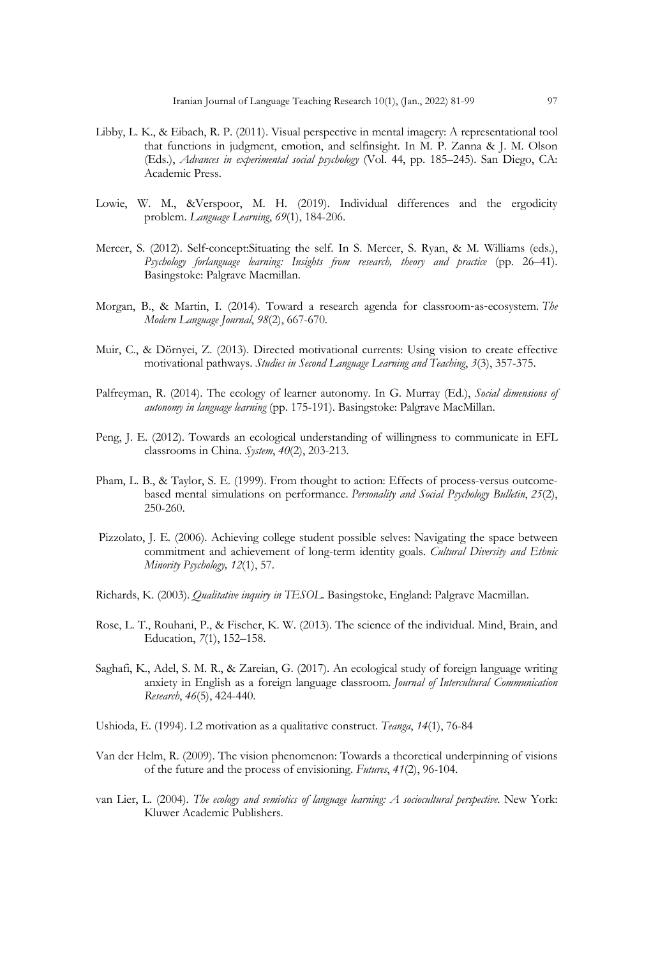- Libby, L. K., & Eibach, R. P. (2011). Visual perspective in mental imagery: A representational tool that functions in judgment, emotion, and selfinsight. In M. P. Zanna & J. M. Olson (Eds.), *Advances in experimental social psychology* (Vol. 44, pp. 185–245). San Diego, CA: Academic Press.
- Lowie, W. M., &Verspoor, M. H. (2019). Individual differences and the ergodicity problem. *Language Learning*, *69*(1), 184-206.
- Mercer, S. (2012). Self-concept:Situating the self. In S. Mercer, S. Ryan, & M. Williams (eds.), *Psychology forlanguage learning: Insights from research, theory and practice* (pp. 26–41). Basingstoke: Palgrave Macmillan.
- Morgan, B., & Martin, I. (2014). Toward a research agenda for classroom-as-ecosystem. *The Modern Language Journal*, *98*(2), 667-670.
- Muir, C., & Dörnyei, Z. (2013). Directed motivational currents: Using vision to create effective motivational pathways. *Studies in Second Language Learning and Teaching*, *3*(3), 357-375.
- Palfreyman, R. (2014). The ecology of learner autonomy. In G. Murray (Ed.), *Social dimensions of autonomy in language learning* (pp. 175-191). Basingstoke: Palgrave MacMillan.
- Peng, J. E. (2012). Towards an ecological understanding of willingness to communicate in EFL classrooms in China. *System*, *40*(2), 203-213.
- Pham, L. B., & Taylor, S. E. (1999). From thought to action: Effects of process-versus outcomebased mental simulations on performance. *Personality and Social Psychology Bulletin*, *25*(2), 250-260.
- Pizzolato, J. E. (2006). Achieving college student possible selves: Navigating the space between commitment and achievement of long-term identity goals. *Cultural Diversity and Ethnic Minority Psychology, 12*(1), 57.
- Richards, K. (2003). *Qualitative inquiry in TESOL*. Basingstoke, England: Palgrave Macmillan.
- Rose, L. T., Rouhani, P., & Fischer, K. W. (2013). The science of the individual. Mind, Brain, and Education, *7*(1), 152–158.
- Saghafi, K., Adel, S. M. R., & Zareian, G. (2017). An ecological study of foreign language writing anxiety in English as a foreign language classroom. *Journal of Intercultural Communication Research*, *46*(5), 424-440.
- Ushioda, E. (1994). L2 motivation as a qualitative construct. *Teanga*, *14*(1), 76-84
- Van der Helm, R. (2009). The vision phenomenon: Towards a theoretical underpinning of visions of the future and the process of envisioning. *Futures*, *41*(2), 96-104.
- van Lier, L. (2004). *The ecology and semiotics of language learning: A sociocultural perspective*. New York: Kluwer Academic Publishers.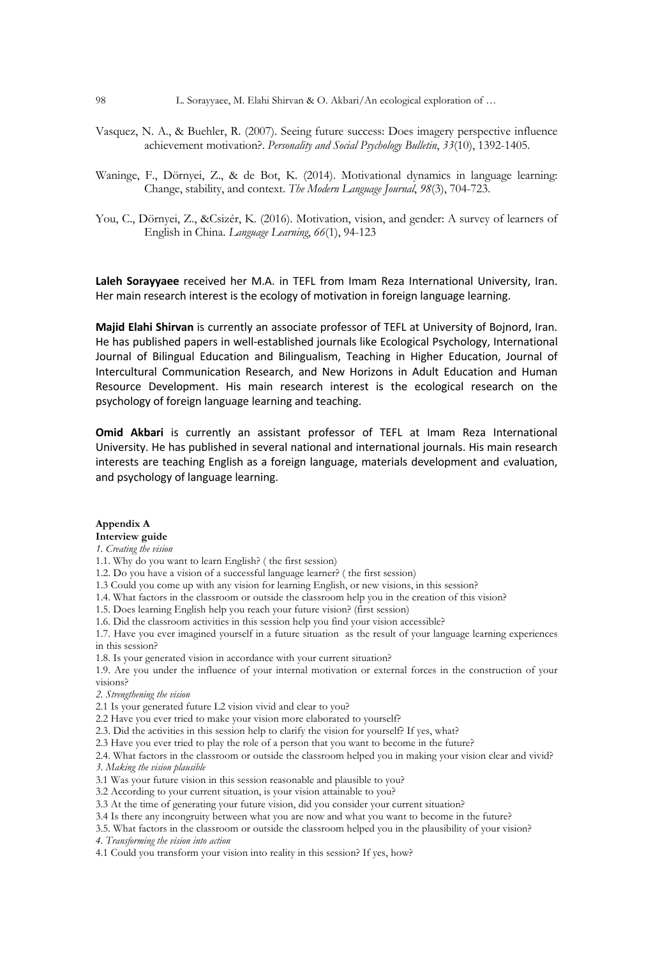- Vasquez, N. A., & Buehler, R. (2007). Seeing future success: Does imagery perspective influence achievement motivation?. *Personality and Social Psychology Bulletin*, *33*(10), 1392-1405.
- Waninge, F., Dörnyei, Z., & de Bot, K. (2014). Motivational dynamics in language learning: Change, stability, and context. *The Modern Language Journal*, *98*(3), 704-723.
- You, C., Dörnyei, Z., &Csizér, K. (2016). Motivation, vision, and gender: A survey of learners of English in China. *Language Learning*, *66*(1), 94-123

**Laleh Sorayyaee** received her M.A. in TEFL from Imam Reza International University, Iran. Her main research interest is the ecology of motivation in foreign language learning.

**Majid Elahi Shirvan** is currently an associate professor of TEFL at University of Bojnord, Iran. He has published papers in well-established journals like Ecological Psychology, International Journal of Bilingual Education and Bilingualism, Teaching in Higher Education, Journal of Intercultural Communication Research, and New Horizons in Adult Education and Human Resource Development. His main research interest is the ecological research on the psychology of foreign language learning and teaching.

**Omid Akbari** is currently an assistant professor of TEFL at Imam Reza International University. He has published in several national and international journals. His main research interests are teaching English as a foreign language, materials development and evaluation, and psychology of language learning.

#### **Appendix A**

# **Interview guide**

*1. Creating the vision*

- 1.1. Why do you want to learn English? ( the first session)
- 1.2. Do you have a vision of a successful language learner? ( the first session)
- 1.3 Could you come up with any vision for learning English, or new visions, in this session?
- 1.4. What factors in the classroom or outside the classroom help you in the creation of this vision?
- 1.5. Does learning English help you reach your future vision? (first session)
- 1.6. Did the classroom activities in this session help you find your vision accessible?
- 1.7. Have you ever imagined yourself in a future situation as the result of your language learning experiences in this session?
- 1.8. Is your generated vision in accordance with your current situation?

1.9. Are you under the influence of your internal motivation or external forces in the construction of your visions?

#### *2. Strengthening the vision*

- 2.1 Is your generated future L2 vision vivid and clear to you?
- 2.2 Have you ever tried to make your vision more elaborated to yourself?
- 2.3. Did the activities in this session help to clarify the vision for yourself? If yes, what?
- 2.3 Have you ever tried to play the role of a person that you want to become in the future?

2.4. What factors in the classroom or outside the classroom helped you in making your vision clear and vivid? *3. Making the vision plausible*

- 3.1 Was your future vision in this session reasonable and plausible to you?
- 3.2 According to your current situation, is your vision attainable to you?
- 3.3 At the time of generating your future vision, did you consider your current situation?
- 3.4 Is there any incongruity between what you are now and what you want to become in the future?
- 3.5. What factors in the classroom or outside the classroom helped you in the plausibility of your vision?

*4. Transforming the vision into action* 

4.1 Could you transform your vision into reality in this session? If yes, how?